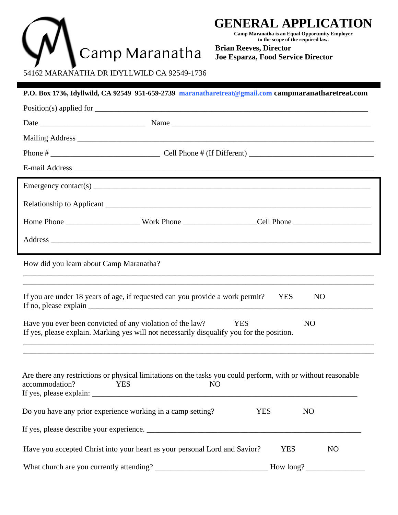

# **GENERAL APPLICATION**

**Camp Maranatha is an Equal Opportunity Employer to the scope of the required law.**

**Brian Reeves, Director Joe Esparza, Food Service Director**

54162 MARANATHA DR IDYLLWILD CA 92549-1736

|                                                             | P.O. Box 1736, Idyllwild, CA 92549 951-659-2739 maranatharetreat@gmail.com campmaranatharetreat.com                                                                                                                                                                                                                                                                                                                                                                                            |            |                |
|-------------------------------------------------------------|------------------------------------------------------------------------------------------------------------------------------------------------------------------------------------------------------------------------------------------------------------------------------------------------------------------------------------------------------------------------------------------------------------------------------------------------------------------------------------------------|------------|----------------|
|                                                             |                                                                                                                                                                                                                                                                                                                                                                                                                                                                                                |            |                |
|                                                             |                                                                                                                                                                                                                                                                                                                                                                                                                                                                                                |            |                |
|                                                             |                                                                                                                                                                                                                                                                                                                                                                                                                                                                                                |            |                |
|                                                             |                                                                                                                                                                                                                                                                                                                                                                                                                                                                                                |            |                |
|                                                             | ,我们也不会有什么。""我们的人,我们也不会有什么?""我们的人,我们也不会有什么?""我们的人,我们也不会有什么?""我们的人,我们也不会有什么?""我们的人                                                                                                                                                                                                                                                                                                                                                                                                               |            |                |
|                                                             |                                                                                                                                                                                                                                                                                                                                                                                                                                                                                                |            |                |
|                                                             |                                                                                                                                                                                                                                                                                                                                                                                                                                                                                                |            |                |
|                                                             |                                                                                                                                                                                                                                                                                                                                                                                                                                                                                                |            |                |
|                                                             |                                                                                                                                                                                                                                                                                                                                                                                                                                                                                                |            |                |
| How did you learn about Camp Maranatha?                     |                                                                                                                                                                                                                                                                                                                                                                                                                                                                                                |            |                |
|                                                             | If you are under 18 years of age, if requested can you provide a work permit?<br>If no, please explain $\frac{1}{\sqrt{1-\frac{1}{\sqrt{1-\frac{1}{\sqrt{1-\frac{1}{\sqrt{1-\frac{1}{\sqrt{1-\frac{1}{\sqrt{1-\frac{1}{\sqrt{1-\frac{1}{\sqrt{1-\frac{1}{\sqrt{1-\frac{1}{\sqrt{1-\frac{1}{\sqrt{1-\frac{1}{\sqrt{1-\frac{1}{\sqrt{1-\frac{1}{\sqrt{1-\frac{1}{\sqrt{1-\frac{1}{\sqrt{1-\frac{1}{\sqrt{1-\frac{1}{\sqrt{1-\frac{1}{\sqrt{1-\frac{1}{\sqrt{1-\frac{1}{\sqrt{1-\frac{1}{\sqrt{1$ | <b>YES</b> | N <sub>O</sub> |
| Have you ever been convicted of any violation of the law?   | <b>YES</b><br>If yes, please explain. Marking yes will not necessarily disqualify you for the position.                                                                                                                                                                                                                                                                                                                                                                                        |            | N <sub>O</sub> |
| accommodation?<br><b>YES</b>                                | Are there any restrictions or physical limitations on the tasks you could perform, with or without reasonable<br>N <sub>O</sub>                                                                                                                                                                                                                                                                                                                                                                |            |                |
| Do you have any prior experience working in a camp setting? | <b>YES</b>                                                                                                                                                                                                                                                                                                                                                                                                                                                                                     |            | N <sub>O</sub> |
|                                                             |                                                                                                                                                                                                                                                                                                                                                                                                                                                                                                |            |                |
|                                                             | Have you accepted Christ into your heart as your personal Lord and Savior?                                                                                                                                                                                                                                                                                                                                                                                                                     | <b>YES</b> | N <sub>O</sub> |
|                                                             |                                                                                                                                                                                                                                                                                                                                                                                                                                                                                                |            | How long?      |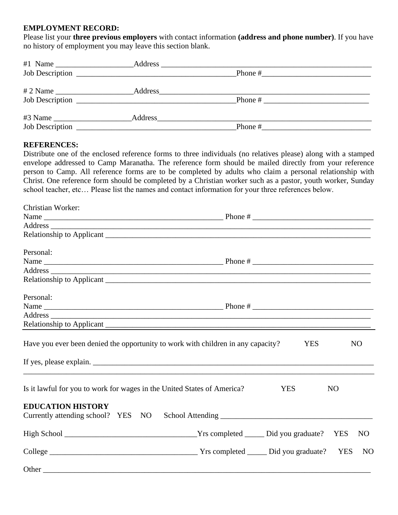#### **EMPLOYMENT RECORD:**

Please list your **three previous employers** with contact information **(address and phone number)**. If you have no history of employment you may leave this section blank.

| $#1$ Name              |                                                                                                                      |           |  |
|------------------------|----------------------------------------------------------------------------------------------------------------------|-----------|--|
| Job Description        | <u> 1980 - Jan Barbarat, martin da shekara 1980 - Ang Barbara na Barbara na Barbara na Barbara na Barbara na Bar</u> | Phone $#$ |  |
| # 2 Name $\frac{1}{2}$ | Address_                                                                                                             |           |  |
|                        |                                                                                                                      | Phone $#$ |  |
|                        |                                                                                                                      |           |  |
| Job Description        |                                                                                                                      | Phone $#$ |  |

### **REFERENCES:**

Distribute one of the enclosed reference forms to three individuals (no relatives please) along with a stamped envelope addressed to Camp Maranatha. The reference form should be mailed directly from your reference person to Camp. All reference forms are to be completed by adults who claim a personal relationship with Christ. One reference form should be completed by a Christian worker such as a pastor, youth worker, Sunday school teacher, etc… Please list the names and contact information for your three references below.

| Christian Worker:                                                                |  |            |                |                |  |  |
|----------------------------------------------------------------------------------|--|------------|----------------|----------------|--|--|
|                                                                                  |  |            |                |                |  |  |
|                                                                                  |  |            |                |                |  |  |
|                                                                                  |  |            |                |                |  |  |
| Personal:                                                                        |  |            |                |                |  |  |
|                                                                                  |  |            |                |                |  |  |
|                                                                                  |  |            |                |                |  |  |
|                                                                                  |  |            |                |                |  |  |
| Personal:                                                                        |  |            |                |                |  |  |
|                                                                                  |  |            |                |                |  |  |
|                                                                                  |  |            |                |                |  |  |
|                                                                                  |  |            |                |                |  |  |
| Have you ever been denied the opportunity to work with children in any capacity? |  | <b>YES</b> |                | N <sub>O</sub> |  |  |
| Is it lawful for you to work for wages in the United States of America?          |  | <b>YES</b> | N <sub>O</sub> |                |  |  |
| <b>EDUCATION HISTORY</b><br>Currently attending school? YES NO                   |  |            |                |                |  |  |
|                                                                                  |  |            |                | N <sub>O</sub> |  |  |
|                                                                                  |  |            |                | <b>NO</b>      |  |  |
|                                                                                  |  |            |                |                |  |  |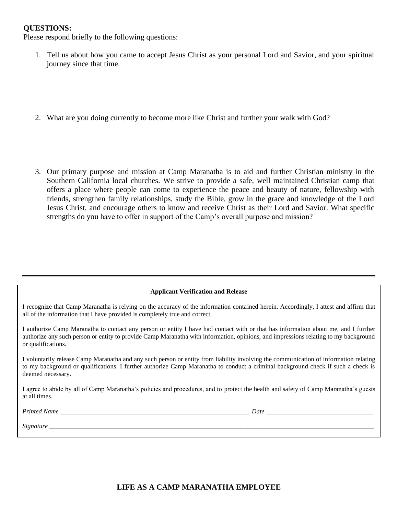#### **QUESTIONS:**

Please respond briefly to the following questions:

- 1. Tell us about how you came to accept Jesus Christ as your personal Lord and Savior, and your spiritual journey since that time.
- 2. What are you doing currently to become more like Christ and further your walk with God?
- 3. Our primary purpose and mission at Camp Maranatha is to aid and further Christian ministry in the Southern California local churches. We strive to provide a safe, well maintained Christian camp that offers a place where people can come to experience the peace and beauty of nature, fellowship with friends, strengthen family relationships, study the Bible, grow in the grace and knowledge of the Lord Jesus Christ, and encourage others to know and receive Christ as their Lord and Savior. What specific strengths do you have to offer in support of the Camp's overall purpose and mission?

#### **Applicant Verification and Release**

I recognize that Camp Maranatha is relying on the accuracy of the information contained herein. Accordingly, I attest and affirm that all of the information that I have provided is completely true and correct.

I authorize Camp Maranatha to contact any person or entity I have had contact with or that has information about me, and I further authorize any such person or entity to provide Camp Maranatha with information, opinions, and impressions relating to my background or qualifications.

I voluntarily release Camp Maranatha and any such person or entity from liability involving the communication of information relating to my background or qualifications. I further authorize Camp Maranatha to conduct a criminal background check if such a check is deemed necessary.

I agree to abide by all of Camp Maranatha's policies and procedures, and to protect the health and safety of Camp Maranatha's guests at all times.

*Printed Name \_\_\_\_\_\_\_\_\_\_\_\_\_\_\_\_\_\_\_\_\_\_\_\_\_\_\_\_\_\_\_\_\_\_\_\_\_\_\_\_\_\_\_\_\_\_\_\_\_\_\_\_\_\_\_\_\_\_ Date \_\_\_\_\_\_\_\_\_\_\_\_\_\_\_\_\_\_\_\_\_\_\_\_\_\_\_\_\_\_\_\_\_*

*Signature \_\_\_\_\_\_\_\_\_\_\_\_\_\_\_\_\_\_\_\_\_\_\_\_\_\_\_\_\_\_\_\_\_\_\_\_\_\_\_\_\_\_\_\_\_\_\_\_\_\_\_\_\_\_\_\_\_\_\_\_\_\_\_\_\_\_\_\_\_\_\_\_\_\_\_\_\_\_\_\_\_\_\_\_\_\_\_\_\_\_\_\_\_\_\_\_\_\_\_\_*

#### **LIFE AS A CAMP MARANATHA EMPLOYEE**